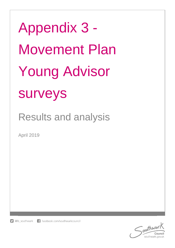Appendix 3 - Movement Plan Young Advisor surveys

Results and analysis

April 2019

f facebook.com/southwarkcouncil  $\Box$  @lb southwark

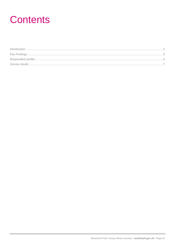### **Contents**

| $\int_0^{\infty} \frac{1}{2} \arccos \left( \frac{1}{2} \arccos \left( \frac{1}{2} \arccos \left( \frac{1}{2} \arccos \left( \frac{1}{2} \arccos \left( \frac{1}{2} \arccos \left( \frac{1}{2} \arccos \left( \frac{1}{2} \arccos \left( \frac{1}{2} \arccos \left( \frac{1}{2} \arccos \left( \frac{1}{2} \arccos \left( \frac{1}{2} \arccos \left( \frac{1}{2} \arccos \left( \frac{1}{2} \arccos \left( \frac{1}{2} \arccos \left( \$ |  |
|------------------------------------------------------------------------------------------------------------------------------------------------------------------------------------------------------------------------------------------------------------------------------------------------------------------------------------------------------------------------------------------------------------------------------------------|--|
|                                                                                                                                                                                                                                                                                                                                                                                                                                          |  |
|                                                                                                                                                                                                                                                                                                                                                                                                                                          |  |
|                                                                                                                                                                                                                                                                                                                                                                                                                                          |  |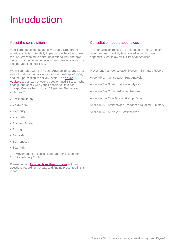## <span id="page-2-0"></span>Introduction

#### About the consultation

As children become teenagers we see a large drop in physical activity, potentially impacting on their lives, down the line. We wanted to better understand why and how we can change these behaviours and how activity can be incorporated into their lives.

We collaborated with the Young Advisors to survey 12-16 year olds about their travel behaviours, feelings of safety and their perception of activity levels. The Young [Advisors](https://youngadvisors.org.uk/) are a team of young people, aged 15 to 24, who engage and speak with young people to influence change. We reached in total 129 people. The locations visited were:

- Peckham library
- Yellow brick
- Aylesbury
- Walworth
- Brandon Estate
- Borough
- Bankside
- Bermondsey
- Spa Park

The Movement Plan consultation ran from November 2018 to February 2019.

Please contact [transport@southwark.gov.uk](mailto:transport@southwark.gov.uk) with any questions regarding the data and finding presented in this report.

#### Consultation report appendices

The consultation results are presented in one summary report and each activity is analysed in depth in each appendix. See below for full list of appendices.

Movement Plan Consultation Report – Summary Report

Appendix 1 – Consultation Hub Analysis

Appendix 2 – Street Surveys Analysis

Appendix 3 – Young Advisors Analysis

Appendix 4 – Over 65s Workshop Report

Appendix 5 – Stakeholder Responses Detailed Summary

Appendix 6 – Surveys Questionnaires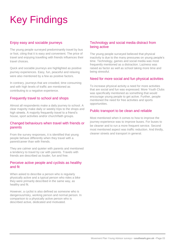# <span id="page-3-0"></span>Key Findings

#### Enjoy easy and sociable journeys

The young people surveyed predominantly travel by bus or foot, citing that it is easy and convenient. The price of travel and enjoying travelling with friends influences their travel choices.

Quick and sociable journeys are highlighted as positive journey experiences. Easy, fun, peaceful and relaxing were also mentioned by a few as positive factors.

In contrary, journeys that are crowded, time consuming and with high levels of traffic are mentioned as contributing to a negative experience.

#### Frequently travel to school and shops

Almost all respondents make a daily journey to school. A clear majority make daily or weekly trips to the shops and high streets. A majority frequently travel to a friend's house, sport activities and/or church/faith groups.

#### Changed behaviours when travel with friends or parents

From the survey responses, it is identified that young people behave differently when they travel with a parent/career than with friends.

They are calmer and quieter with parents and mentioned a tendency to travel by car with parents. Travels with friends are described as louder, fun and free.

#### Perceive active people and cyclists as healthy and fit

When asked to describe a person who is regularly physically active and a typical person who rides a bike they were primarily described in the same way, as healthy and fit.

However, a cyclist is also defined as someone who is dangerous/risky, working person and normal person. In comparison to a physically active person who is described active, dedicated and motivated.

#### Technology and social media distract from being active

The young people surveyed believed that physical inactivity is due to the many pressures on young people's time. Technology, games and social media was most frequently mentioned as a distraction. Laziness was raised as factor as well as school taking more time and being stressful.

#### Need for more social and fun physical activities

To increase physical activity a need for more activities that are social and fun was expressed. More Youth Clubs was specifically mentioned as something that would encourage young people to get active. Further, people mentioned the need for free activities and sports opportunities.

#### Public transport to be clean and reliable

Most mentioned when it comes to how to improve the journey experience was to improve buses. For buses to be cleaner and to run a more frequent service. Second most mentioned aspect was traffic reduction. And thirdly, cleaner streets and transport in general.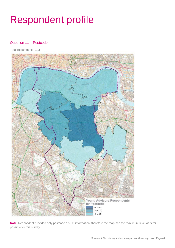# <span id="page-4-0"></span>Respondent profile

#### Question 11 – Postcode

Total respondents: 103



**Note:** Respondent provided only postcode district information; therefore the map has the maximum level of detail possible for this survey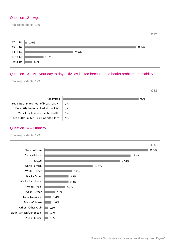#### Question 12 – Age

Total respondents: 129

|          |       | Q12   |
|----------|-------|-------|
| 17 to 18 | 1.6%  |       |
| 15 to 16 |       | 58.9% |
| 13 to 14 | 25.6% |       |
| 11 to 12 | 10.1% |       |
| 9 to 10  | 3.9%  |       |
|          |       |       |

#### Question 13 – Are your day to day activities limited because of a health problem or disability?

Total respondents: 129

|                                              |    |     | Q13 |
|----------------------------------------------|----|-----|-----|
| Not limited                                  |    | 97% |     |
| Yes a little limited - out of breath easily  | 1% |     |     |
| Yes a little limited - physical mobility     | 1% |     |     |
| Yes a little limited - mental health         | 1% |     |     |
| Yes a little limited - learning difficulties | 1% |     |     |
|                                              |    |     |     |

#### Question 14 – Ethnicity

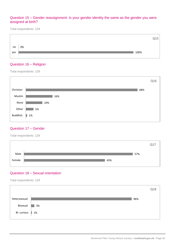#### Question 15 – Gender reassignment: Is your gender identity the same as the gender you were assigned at birth?

Total respondents: 129



#### Question 16 – Religion

Total respondents: 129



#### Question 17 – Gender

Total respondents: 129



#### Question 18 – Sexual orientation

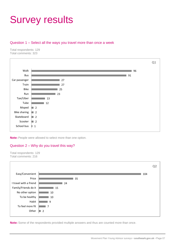### <span id="page-7-0"></span>Survey results

#### Question 1 – Select all the ways you travel more than once a week

Total respondents: 129 Total comments: 323



**Note:** People were allowed to select more than one option.

#### Question 2 – Why do you travel this way?



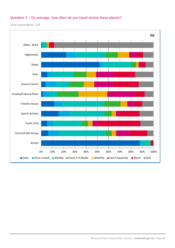#### Question 3 – On average, how often do you travel to/visit these places?

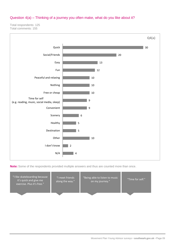#### Question 4(a) – Thinking of a journey you often make, what do you like about it?

Total respondents: 125 Total comments: 155



| "I like skateboarding because<br>it's quick and give me<br>exercise. Plus it's free." | "I meet friends<br>along the way." | "Being able to listen to music<br>on my journey." | "Time for self." |
|---------------------------------------------------------------------------------------|------------------------------------|---------------------------------------------------|------------------|
|                                                                                       |                                    |                                                   |                  |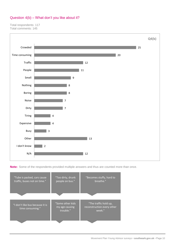### Question 4(b) – What don't you like about it?

Total respondents: 117 Total comments: 145



| "Tube is packed, cars cause<br>traffic, buses not on time." | "Too dirty, drunk<br>people on bus."            | "Becomes stuffy, hard to<br>breathe."                         |
|-------------------------------------------------------------|-------------------------------------------------|---------------------------------------------------------------|
|                                                             |                                                 |                                                               |
| "I don't like bus because it is<br>time consuming."         | "Some other kids<br>my age causing<br>trouble." | "The traffic hold up,<br>reconstruction every other<br>week." |
|                                                             |                                                 |                                                               |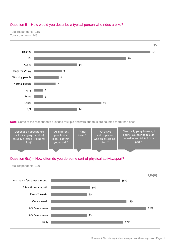#### Question 5 – How would you describe a typical person who rides a bike?





**Note:** Some of the respondents provided multiple answers and thus are counted more than once.



#### Question 6(a) – How often do you do some sort of physical activity/sport?

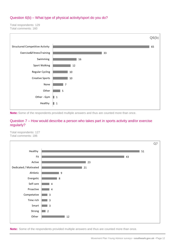#### Question 6(b) – What type of physical activity/sport do you do?

Total respondents: 129 Total comments: 160



**Note:** Some of the respondents provided multiple answers and thus are counted more than once.

#### Question 7 – How would describe a person who takes part in sports activity and/or exercise regularly?

Total respondents: 127 Total comments: 186

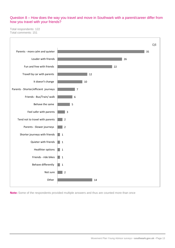#### Question 8 – How does the way you travel and move in Southwark with a parent/career differ from how you travel with your friends?

Total respondents: 122 Total comments: 151

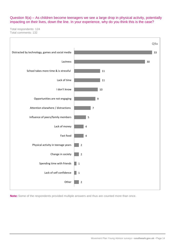Question 9(a) – As children become teenagers we see a large drop in physical activity, potentially impacting on their lives, down the line. In your experience, why do you think this is the case?

Total respondents: 124 Total comments: 132

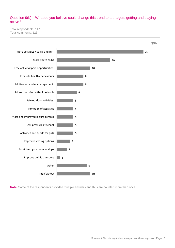#### Question 9(b) – What do you believe could change this trend to teenagers getting and staying active?

Total respondents: 117 Total comments: 126

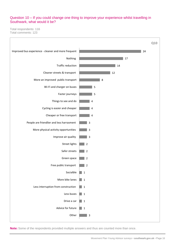#### Question 10 – If you could change one thing to improve your experience whilst travelling in Southwark, what would it be?

Total respondents: 116 Total comments: 123

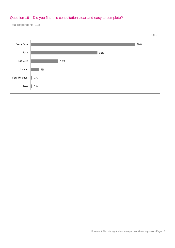### Question 19 – Did you find this consultation clear and easy to complete?